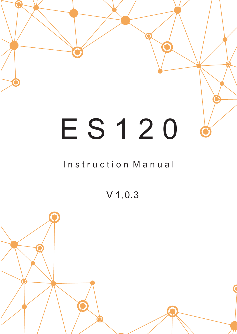

# E S 1 2 0

#### Instruction Manual

V 1.0.3

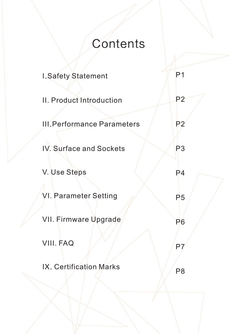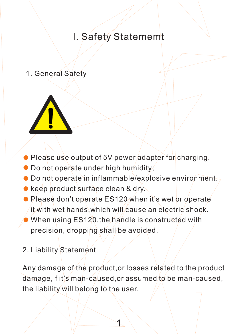#### I. Safety Statememt

1. General Safety



- Please use output of 5V power adapter for charging.
- Do not operate under high humidity;
- Do not operate in inflammable/explosive environment.
- **keep product surface clean & dry.**
- Please don't operate ES120 when it's wet or operate it with wet hands, which will cause an electric shock.
- When using ES120,the handle is constructed with precision, dropping shall be avoided.
- 2. Liability Statement

Any damage of the product,or losses related to the product damage, if it's man-caused, or assumed to be man-caused, the liability will belong to the user.

 $\blacktriangle$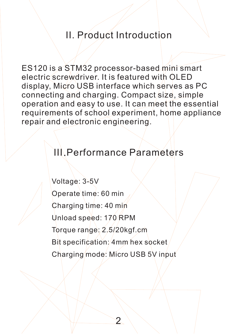#### II. Product Introduction

ES120 is a STM32 processor-based mini smart electric screwdriver. It is featured with OLED display, Micro USB interface which serves as PC connecting and charging. Compact size, simple operation and easy to use. It can meet the essential requirements of school experiment, home appliance repair and electronic engineering.

### **III. Performance Parameters**

Voltage: 3-5V Operate time: 60 min Charging time: 40 min Unload speed: 170 RPM Torque range: 2.5/20kgf.cm Bit specification: 4mm hex socket Charging mode: Micro USB 5V input

2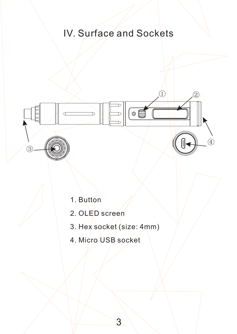### IV. Surface and Sockets

 $\circ$ 

 $\begin{array}{|c|c|c|c|c|}\n\hline\n0 & \quad \end{array}$ 

 $\overline{a}$ 

1. Button

③

- 2. OLED screen
- 3. Hex socket (size: 4mm)

3

4. Micro USB socket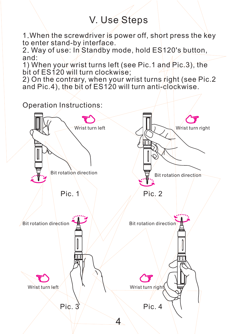#### V. Use Steps

1. When the screwdriver is power off, short press the key to enter stand-by interface.

2. Way of use: In Standby mode, hold ES120's button, and:

1) When your wrist turns left (see Pic.1 and Pic.3), the bit of ES120 will turn clockwise;

2) On the contrary, when your wrist turns right (see Pic.2 and Pic.4), the bit of ES120 will turn anti-clockwise.

Operation Instructions:

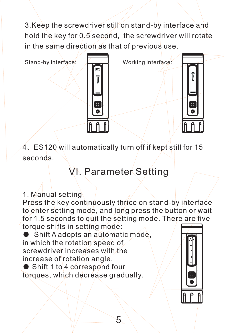3.Keep the screwdriver still on stand-by interface and hold the key for 0.5 second, the screwdriver will rotate in the same direction as that of previous use.

Stand-by interface:  $\overline{\phantom{a}}$  Working interface:





4、ES120 will automatically turn off if kept still for 15 seconds.

## VI. Parameter Setting

1. Manual setting

Press the key continuously thrice on stand-by interface to enter setting mode, and long press the button or wait for 1.5 seconds to quit the setting mode. There are five torque shifts in setting mode:

● Shift A adopts an automatic mode, in which the rotation speed of screwdriver increases with the increase of rotation angle.

 $\bullet$  Shift 1 to 4 correspond four torques, which decrease gradually.

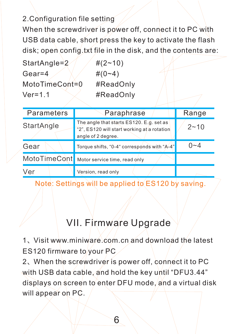#### 2.Configuration file setting

When the screwdriver is power off, connect it to PC with USB data cable, short press the key to activate the flash disk; open config.txt file in the disk, and the contents are:

StartAngle= $2$  /  $\#(2-10)$ Gear=4  $\angle$   $\angle$   $\neq$   $(0-4)$ MotoTimeCont=0 #ReadOnly Ver=1.1  $\sqrt{\frac{4}{\pi}}$  #ReadOnly

| Parameters | Paraphrase                                                                                                    | Range    |
|------------|---------------------------------------------------------------------------------------------------------------|----------|
| StartAngle | The angle that starts ES120. E.g. set as<br>"2", ES120 will start working at a rotation<br>angle of 2 degree. | $2 - 10$ |
| Gear       | Torque shifts, "0-4" corresponds with "A-4"                                                                   | 0~4      |
|            | MotoTimeCont Motor service time, read only                                                                    |          |
| Ver        | Version, read only                                                                                            |          |

Note: Settings will be applied to ES120 by saving.

#### VII. Firmware Upgrade

1、Visit www.miniware.com.cn and download the latest ES120 firmware to your PC

2、When the screwdriver is power off, connect it to PC with USB data cable, and hold the key until "DFU3.44" displays on screen to enter DFU mode, and a virtual disk will appear on PC.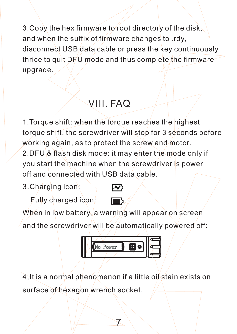3.Copy the hex firmware to root directory of the disk, and when the suffix of firmware changes to .rdy, disconnect USB data cable or press the key continuously thrice to quit  $DFU$  mode and thus complete the firmware upgrade.

## VIII. FAQ

1 .Torque shift: when the torque reaches the highest 2. DFU & flash disk mode: it may enter the mode only if torque shift, the screwdriver will stop for 3 seconds before working again, as to protect the screw and motor. you start the machine when the screwdriver is power off and connected with USB data cable.

3 .Charging icon:

Fully charged icon:

When in low battery, a warning will appear on screen and the screwdriver will be automatically powered off:



4. It is a normal phenomenon if a little oil stain exists on surface of hexagon wrench socket.

7